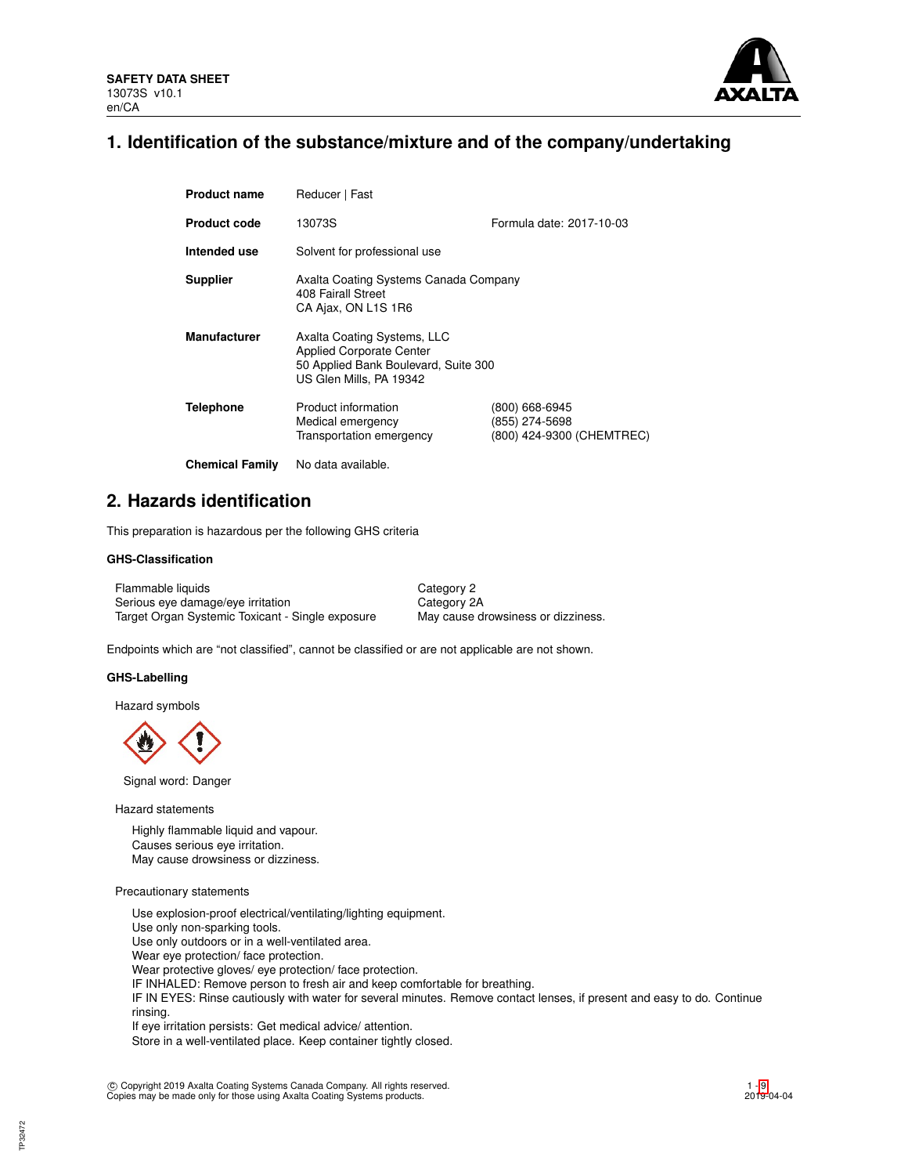

## **1. Identification of the substance/mixture and of the company/undertaking**

| <b>Product name</b>    | Reducer   Fast                                                                                                                    |                                                               |  |  |  |
|------------------------|-----------------------------------------------------------------------------------------------------------------------------------|---------------------------------------------------------------|--|--|--|
| <b>Product code</b>    | 13073S                                                                                                                            | Formula date: 2017-10-03                                      |  |  |  |
| Intended use           | Solvent for professional use                                                                                                      |                                                               |  |  |  |
| <b>Supplier</b>        | Axalta Coating Systems Canada Company<br>408 Fairall Street<br>CA Ajax, ON L1S 1R6                                                |                                                               |  |  |  |
| <b>Manufacturer</b>    | Axalta Coating Systems, LLC<br><b>Applied Corporate Center</b><br>50 Applied Bank Boulevard, Suite 300<br>US Glen Mills, PA 19342 |                                                               |  |  |  |
| <b>Telephone</b>       | Product information<br>Medical emergency<br>Transportation emergency                                                              | (800) 668-6945<br>(855) 274-5698<br>(800) 424-9300 (CHEMTREC) |  |  |  |
| <b>Chemical Family</b> | No data available.                                                                                                                |                                                               |  |  |  |

**2. Hazards identification**

This preparation is hazardous per the following GHS criteria

## **GHS-Classification**

Flammable liquids Category 2 Serious eye damage/eye irritation Category 2A Target Organ Systemic Toxicant - Single exposure May cause drowsiness or dizziness.

Endpoints which are "not classified", cannot be classified or are not applicable are not shown.

## **GHS-Labelling**

Hazard symbols

Signal word: Danger

Hazard statements

Highly flammable liquid and vapour. Causes serious eye irritation. May cause drowsiness or dizziness.

## Precautionary statements

Use explosion-proof electrical/ventilating/lighting equipment. Use only non-sparking tools. Use only outdoors or in a well-ventilated area. Wear eye protection/ face protection. Wear protective gloves/ eye protection/ face protection. IF INHALED: Remove person to fresh air and keep comfortable for breathing. IF IN EYES: Rinse cautiously with water for several minutes. Remove contact lenses, if present and easy to do. Continue rinsing. If eye irritation persists: Get medical advice/ attention. Store in a well-ventilated place. Keep container tightly closed.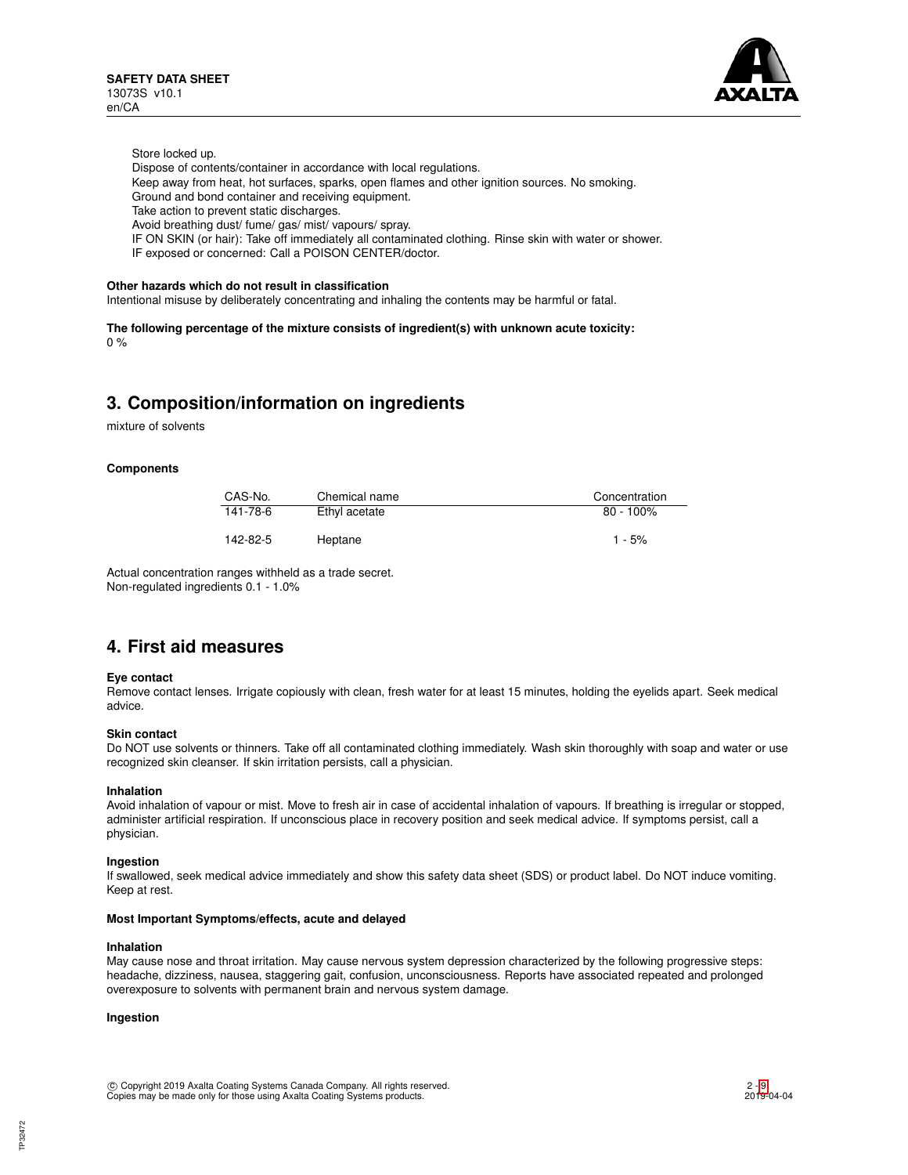

Store locked up.

- Dispose of contents/container in accordance with local regulations.
- Keep away from heat, hot surfaces, sparks, open flames and other ignition sources. No smoking.
- Ground and bond container and receiving equipment.
- Take action to prevent static discharges.
- Avoid breathing dust/ fume/ gas/ mist/ vapours/ spray.
- IF ON SKIN (or hair): Take off immediately all contaminated clothing. Rinse skin with water or shower.
- IF exposed or concerned: Call a POISON CENTER/doctor.

## **Other hazards which do not result in classification**

Intentional misuse by deliberately concentrating and inhaling the contents may be harmful or fatal.

**The following percentage of the mixture consists of ingredient(s) with unknown acute toxicity:**  $0%$ 

# **3. Composition/information on ingredients**

mixture of solvents

## **Components**

| CAS-No.  | Chemical name | Concentration |
|----------|---------------|---------------|
| 141-78-6 | Ethyl acetate | $80 - 100\%$  |
| 142-82-5 | Heptane       | $1 - 5%$      |

Actual concentration ranges withheld as a trade secret. Non-regulated ingredients 0.1 - 1.0%

## **4. First aid measures**

## **Eye contact**

Remove contact lenses. Irrigate copiously with clean, fresh water for at least 15 minutes, holding the eyelids apart. Seek medical advice.

## **Skin contact**

Do NOT use solvents or thinners. Take off all contaminated clothing immediately. Wash skin thoroughly with soap and water or use recognized skin cleanser. If skin irritation persists, call a physician.

## **Inhalation**

Avoid inhalation of vapour or mist. Move to fresh air in case of accidental inhalation of vapours. If breathing is irregular or stopped, administer artificial respiration. If unconscious place in recovery position and seek medical advice. If symptoms persist, call a physician.

## **Ingestion**

If swallowed, seek medical advice immediately and show this safety data sheet (SDS) or product label. Do NOT induce vomiting. Keep at rest.

#### **Most Important Symptoms/effects, acute and delayed**

#### **Inhalation**

May cause nose and throat irritation. May cause nervous system depression characterized by the following progressive steps: headache, dizziness, nausea, staggering gait, confusion, unconsciousness. Reports have associated repeated and prolonged overexposure to solvents with permanent brain and nervous system damage.

## **Ingestion**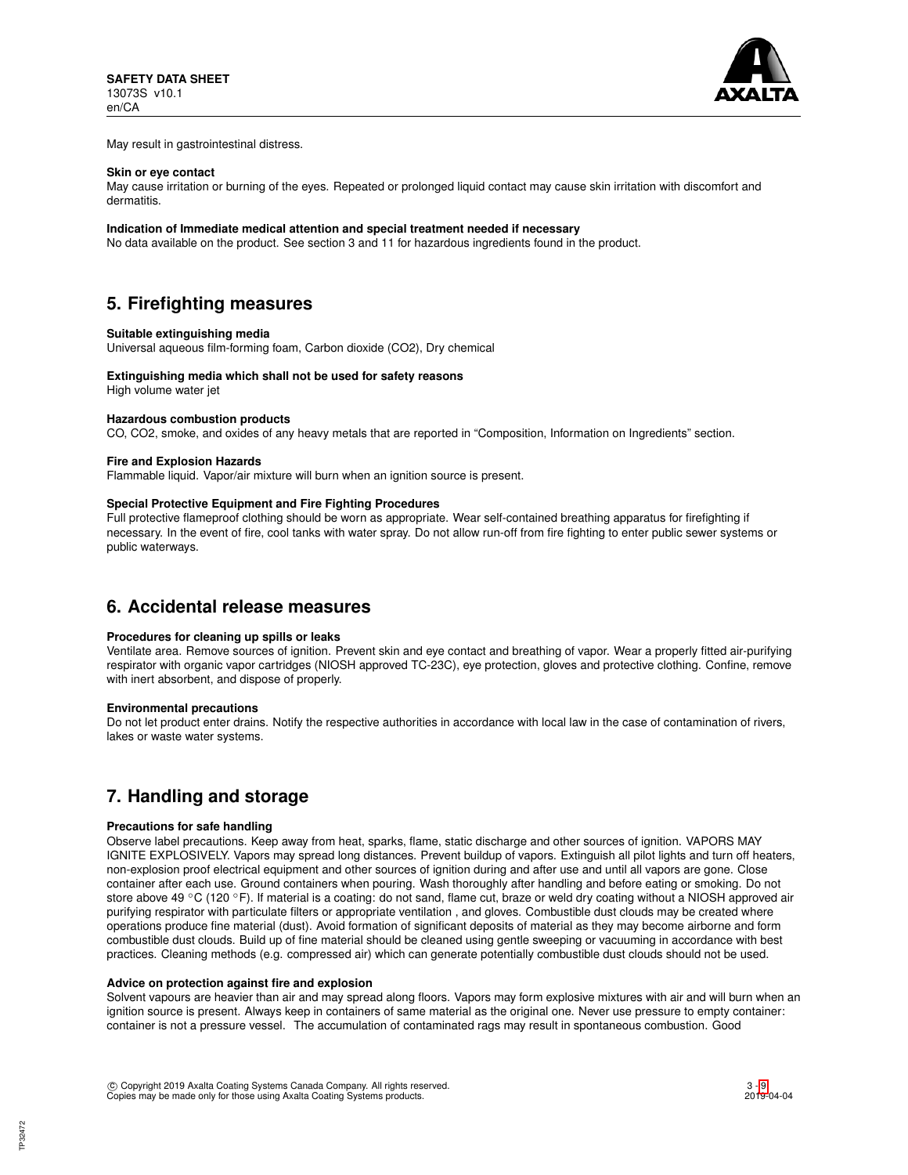

May result in gastrointestinal distress.

#### **Skin or eye contact**

May cause irritation or burning of the eyes. Repeated or prolonged liquid contact may cause skin irritation with discomfort and dermatitis.

#### **Indication of Immediate medical attention and special treatment needed if necessary**

No data available on the product. See section 3 and 11 for hazardous ingredients found in the product.

# **5. Firefighting measures**

## **Suitable extinguishing media**

Universal aqueous film-forming foam, Carbon dioxide (CO2), Dry chemical

## **Extinguishing media which shall not be used for safety reasons**

High volume water jet

## **Hazardous combustion products**

CO, CO2, smoke, and oxides of any heavy metals that are reported in "Composition, Information on Ingredients" section.

## **Fire and Explosion Hazards**

Flammable liquid. Vapor/air mixture will burn when an ignition source is present.

## **Special Protective Equipment and Fire Fighting Procedures**

Full protective flameproof clothing should be worn as appropriate. Wear self-contained breathing apparatus for firefighting if necessary. In the event of fire, cool tanks with water spray. Do not allow run-off from fire fighting to enter public sewer systems or public waterways.

## **6. Accidental release measures**

## **Procedures for cleaning up spills or leaks**

Ventilate area. Remove sources of ignition. Prevent skin and eye contact and breathing of vapor. Wear a properly fitted air-purifying respirator with organic vapor cartridges (NIOSH approved TC-23C), eye protection, gloves and protective clothing. Confine, remove with inert absorbent, and dispose of properly.

## **Environmental precautions**

Do not let product enter drains. Notify the respective authorities in accordance with local law in the case of contamination of rivers, lakes or waste water systems.

## **7. Handling and storage**

## **Precautions for safe handling**

Observe label precautions. Keep away from heat, sparks, flame, static discharge and other sources of ignition. VAPORS MAY IGNITE EXPLOSIVELY. Vapors may spread long distances. Prevent buildup of vapors. Extinguish all pilot lights and turn off heaters, non-explosion proof electrical equipment and other sources of ignition during and after use and until all vapors are gone. Close container after each use. Ground containers when pouring. Wash thoroughly after handling and before eating or smoking. Do not store above 49 °C (120 °F). If material is a coating: do not sand, flame cut, braze or weld dry coating without a NIOSH approved air purifying respirator with particulate filters or appropriate ventilation , and gloves. Combustible dust clouds may be created where operations produce fine material (dust). Avoid formation of significant deposits of material as they may become airborne and form combustible dust clouds. Build up of fine material should be cleaned using gentle sweeping or vacuuming in accordance with best practices. Cleaning methods (e.g. compressed air) which can generate potentially combustible dust clouds should not be used.

#### **Advice on protection against fire and explosion**

Solvent vapours are heavier than air and may spread along floors. Vapors may form explosive mixtures with air and will burn when an ignition source is present. Always keep in containers of same material as the original one. Never use pressure to empty container: container is not a pressure vessel. The accumulation of contaminated rags may result in spontaneous combustion. Good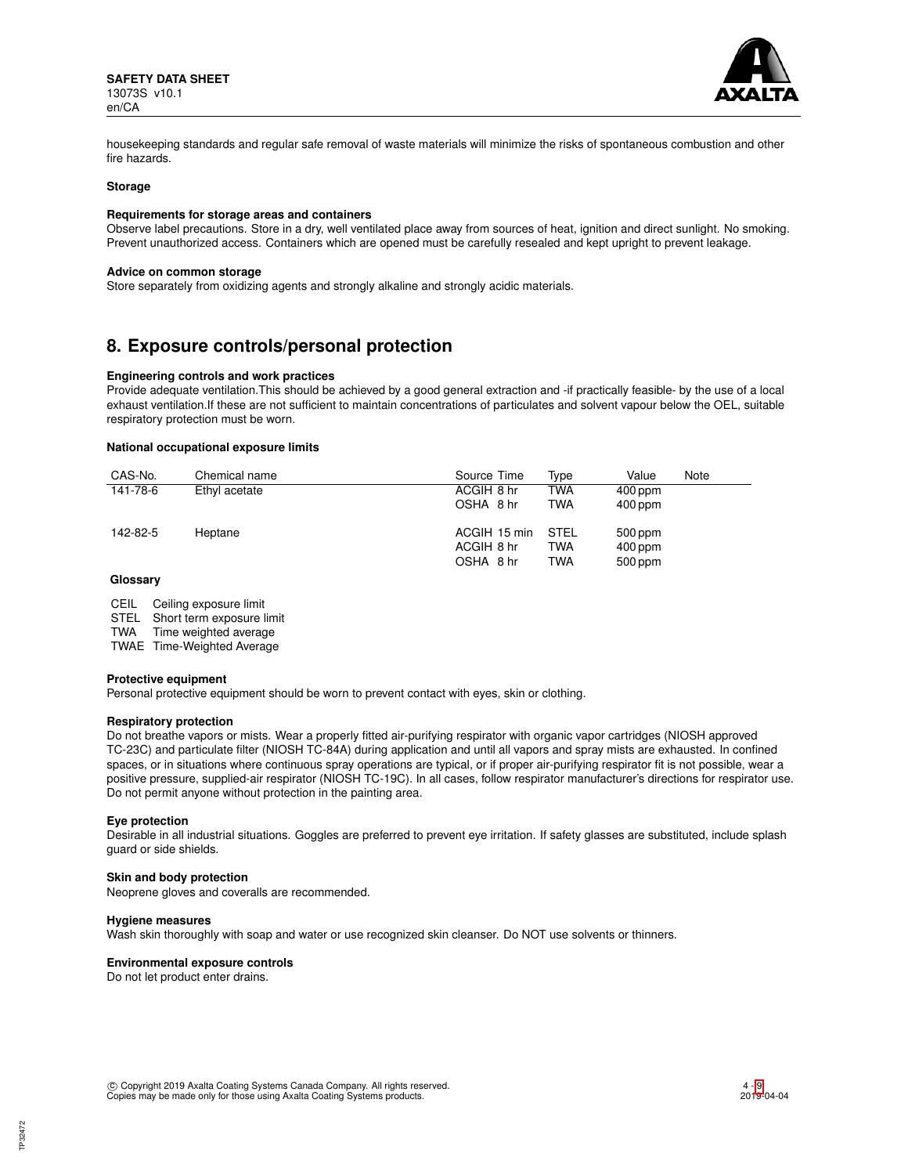

housekeeping standards and regular safe removal of waste materials will minimize the risks of spontaneous combustion and other fire hazards.

#### **Storage**

## **Requirements for storage areas and containers**

Observe label precautions. Store in a dry, well ventilated place away from sources of heat, ignition and direct sunlight. No smoking. Prevent unauthorized access. Containers which are opened must be carefully resealed and kept upright to prevent leakage.

#### **Advice on common storage**

Store separately from oxidizing agents and strongly alkaline and strongly acidic materials.

## **8. Exposure controls/personal protection**

## **Engineering controls and work practices**

Provide adequate ventilation.This should be achieved by a good general extraction and -if practically feasible- by the use of a local exhaust ventilation.If these are not sufficient to maintain concentrations of particulates and solvent vapour below the OEL, suitable respiratory protection must be worn.

## **National occupational exposure limits**

| CAS-No.  | Chemical name | Source Time  | Tvpe       | Value     | Note |
|----------|---------------|--------------|------------|-----------|------|
| 141-78-6 | Ethyl acetate | ACGIH 8 hr   | TWA        | $400$ ppm |      |
|          |               | OSHA 8 hr    | <b>TWA</b> | $400$ ppm |      |
| 142-82-5 | Heptane       | ACGIH 15 min | STEL       | $500$ ppm |      |
|          |               | ACGIH 8 hr   | <b>TWA</b> | $400$ ppm |      |
|          |               | OSHA 8 hr    | <b>TWA</b> | 500 ppm   |      |

## **Glossary**

- CEIL Ceiling exposure limit<br>STEL Short term exposure l
- Short term exposure limit

TWA Time weighted average

TWAE Time-Weighted Average

#### **Protective equipment**

Personal protective equipment should be worn to prevent contact with eyes, skin or clothing.

## **Respiratory protection**

Do not breathe vapors or mists. Wear a properly fitted air-purifying respirator with organic vapor cartridges (NIOSH approved TC-23C) and particulate filter (NIOSH TC-84A) during application and until all vapors and spray mists are exhausted. In confined spaces, or in situations where continuous spray operations are typical, or if proper air-purifying respirator fit is not possible, wear a positive pressure, supplied-air respirator (NIOSH TC-19C). In all cases, follow respirator manufacturer's directions for respirator use. Do not permit anyone without protection in the painting area.

## **Eye protection**

Desirable in all industrial situations. Goggles are preferred to prevent eye irritation. If safety glasses are substituted, include splash guard or side shields.

## **Skin and body protection**

Neoprene gloves and coveralls are recommended.

## **Hygiene measures**

Wash skin thoroughly with soap and water or use recognized skin cleanser. Do NOT use solvents or thinners.

## **Environmental exposure controls**

Do not let product enter drains.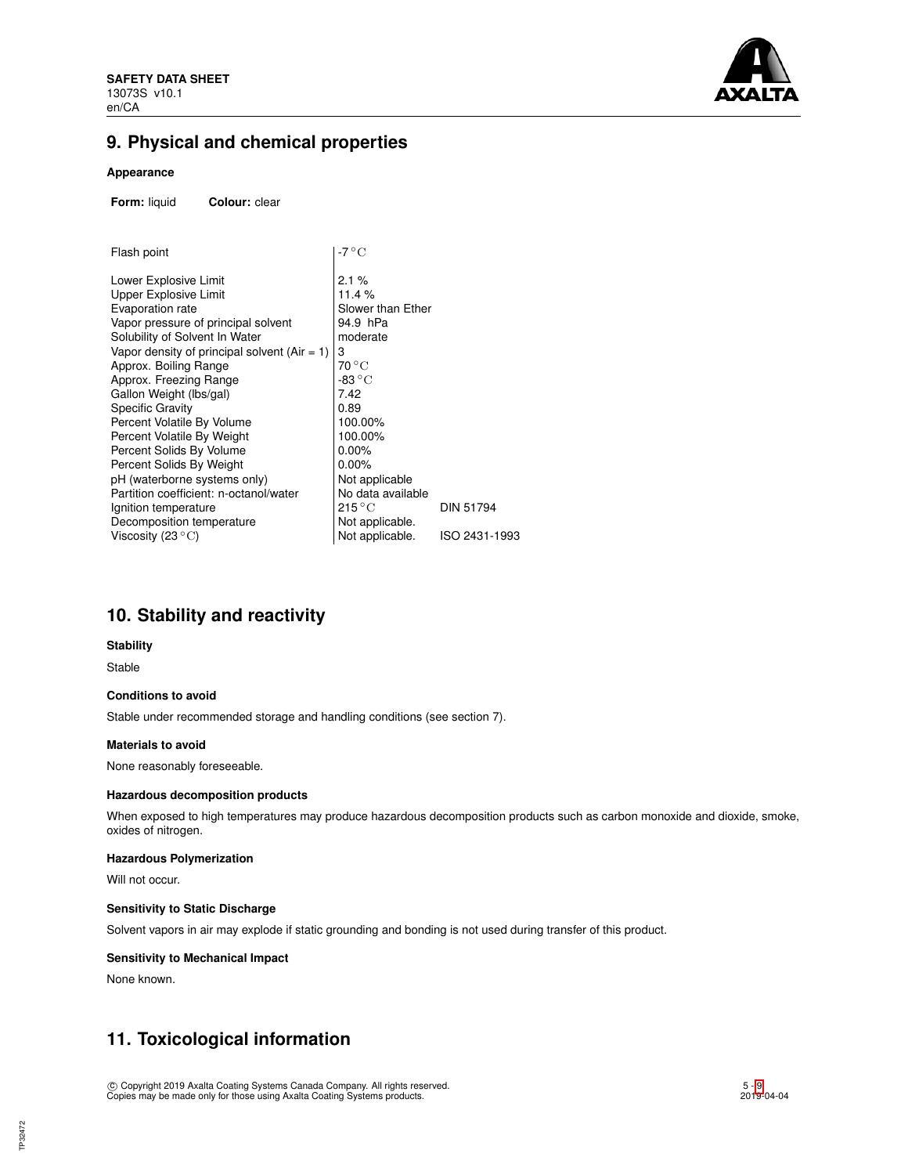

# **9. Physical and chemical properties**

## **Appearance**

**Form:** liquid **Colour:** clear

| Flash point                                    | -7 °C                     |                  |  |  |
|------------------------------------------------|---------------------------|------------------|--|--|
| Lower Explosive Limit                          | 2.1%                      |                  |  |  |
| Upper Explosive Limit                          | 11.4 %                    |                  |  |  |
| Evaporation rate                               | Slower than Ether         |                  |  |  |
| Vapor pressure of principal solvent            | 94.9 hPa                  |                  |  |  |
| Solubility of Solvent In Water                 | moderate                  |                  |  |  |
| Vapor density of principal solvent $(Air = 1)$ | 3                         |                  |  |  |
| Approx. Boiling Range                          | 70 °C                     |                  |  |  |
| Approx. Freezing Range                         | -83 $\rm ^{\circ}C$       |                  |  |  |
| Gallon Weight (Ibs/gal)                        | 7.42                      |                  |  |  |
| Specific Gravity                               | 0.89                      |                  |  |  |
| Percent Volatile By Volume                     | 100.00%                   |                  |  |  |
| Percent Volatile By Weight                     | 100.00%                   |                  |  |  |
| Percent Solids By Volume                       | $0.00\%$                  |                  |  |  |
| Percent Solids By Weight                       | $0.00\%$                  |                  |  |  |
| pH (waterborne systems only)                   | Not applicable            |                  |  |  |
| Partition coefficient: n-octanol/water         | No data available         |                  |  |  |
| Ignition temperature                           | $215\,^{\circ}\mathrm{C}$ | <b>DIN 51794</b> |  |  |
| Decomposition temperature                      | Not applicable.           |                  |  |  |
| Viscosity (23 $^{\circ}{\rm C}$ )              | Not applicable.           | ISO 2431-1993    |  |  |
|                                                |                           |                  |  |  |

# **10. Stability and reactivity**

## **Stability**

Stable

## **Conditions to avoid**

Stable under recommended storage and handling conditions (see section 7).

## **Materials to avoid**

None reasonably foreseeable.

## **Hazardous decomposition products**

When exposed to high temperatures may produce hazardous decomposition products such as carbon monoxide and dioxide, smoke, oxides of nitrogen.

## **Hazardous Polymerization**

Will not occur.

## **Sensitivity to Static Discharge**

Solvent vapors in air may explode if static grounding and bonding is not used during transfer of this product.

## **Sensitivity to Mechanical Impact**

None known.

# **11. Toxicological information**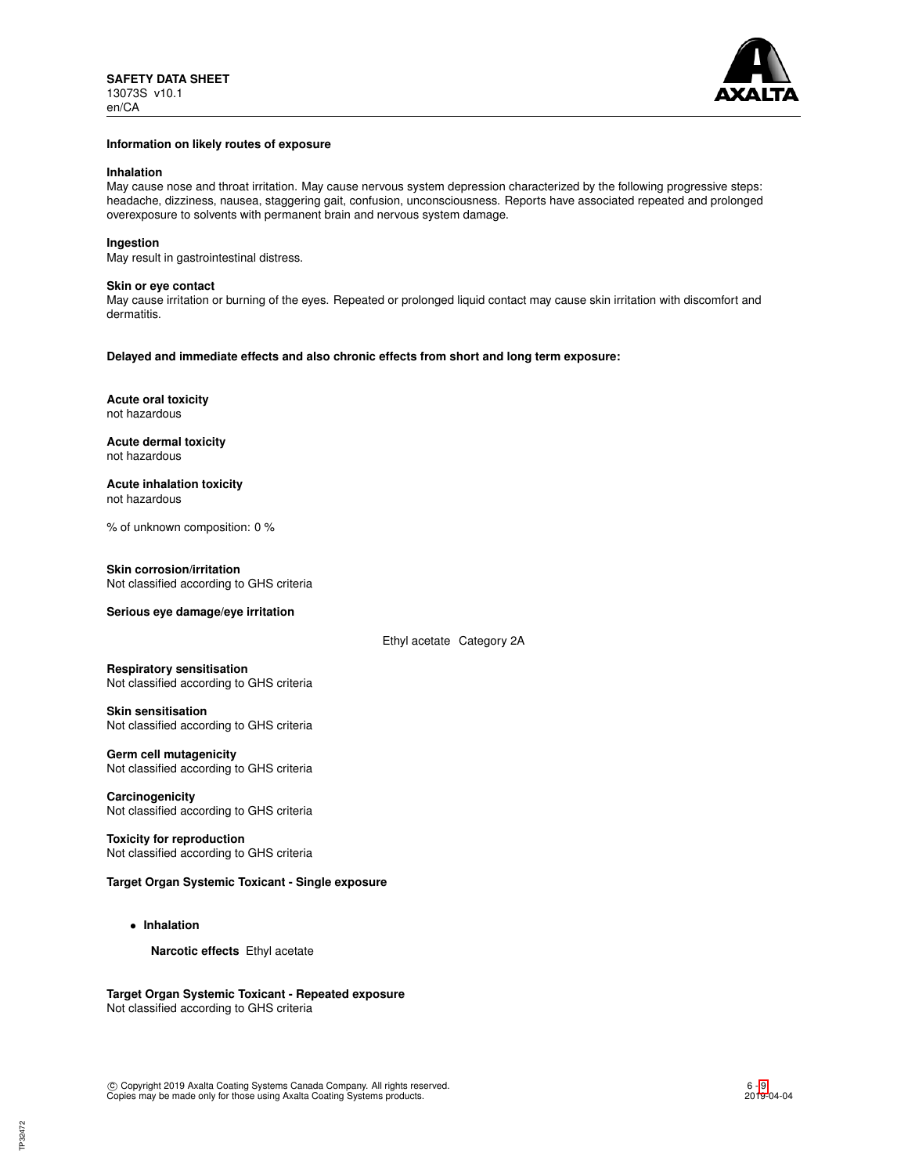

#### **Information on likely routes of exposure**

## **Inhalation**

May cause nose and throat irritation. May cause nervous system depression characterized by the following progressive steps: headache, dizziness, nausea, staggering gait, confusion, unconsciousness. Reports have associated repeated and prolonged overexposure to solvents with permanent brain and nervous system damage.

## **Ingestion**

May result in gastrointestinal distress.

#### **Skin or eye contact**

May cause irritation or burning of the eyes. Repeated or prolonged liquid contact may cause skin irritation with discomfort and dermatitis.

**Delayed and immediate effects and also chronic effects from short and long term exposure:**

**Acute oral toxicity** not hazardous

**Acute dermal toxicity** not hazardous

**Acute inhalation toxicity** not hazardous

% of unknown composition: 0 %

#### **Skin corrosion/irritation**

Not classified according to GHS criteria

## **Serious eye damage/eye irritation**

Ethyl acetate Category 2A

#### **Respiratory sensitisation**

Not classified according to GHS criteria

## **Skin sensitisation**

Not classified according to GHS criteria

## **Germ cell mutagenicity**

Not classified according to GHS criteria

**Carcinogenicity** Not classified according to GHS criteria

**Toxicity for reproduction** Not classified according to GHS criteria

## **Target Organ Systemic Toxicant - Single exposure**

• **Inhalation**

**Narcotic effects** Ethyl acetate

**Target Organ Systemic Toxicant - Repeated exposure** Not classified according to GHS criteria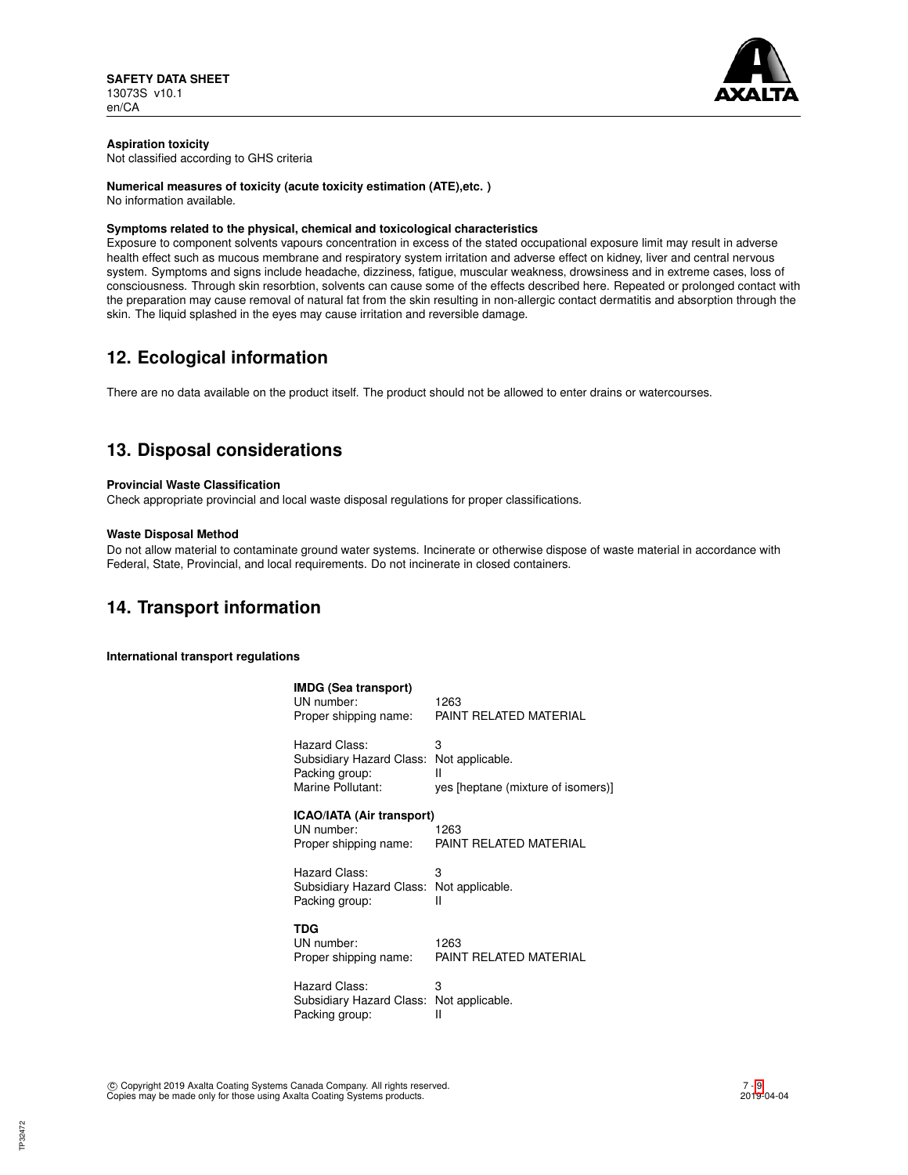

## **Aspiration toxicity**

Not classified according to GHS criteria

## **Numerical measures of toxicity (acute toxicity estimation (ATE),etc. )**

No information available.

## **Symptoms related to the physical, chemical and toxicological characteristics**

Exposure to component solvents vapours concentration in excess of the stated occupational exposure limit may result in adverse health effect such as mucous membrane and respiratory system irritation and adverse effect on kidney, liver and central nervous system. Symptoms and signs include headache, dizziness, fatigue, muscular weakness, drowsiness and in extreme cases, loss of consciousness. Through skin resorbtion, solvents can cause some of the effects described here. Repeated or prolonged contact with the preparation may cause removal of natural fat from the skin resulting in non-allergic contact dermatitis and absorption through the skin. The liquid splashed in the eyes may cause irritation and reversible damage.

# **12. Ecological information**

There are no data available on the product itself. The product should not be allowed to enter drains or watercourses.

# **13. Disposal considerations**

## **Provincial Waste Classification**

Check appropriate provincial and local waste disposal regulations for proper classifications.

## **Waste Disposal Method**

Do not allow material to contaminate ground water systems. Incinerate or otherwise dispose of waste material in accordance with Federal, State, Provincial, and local requirements. Do not incinerate in closed containers.

## **14. Transport information**

**International transport regulations**

| <b>IMDG (Sea transport)</b><br>UN number:<br>Proper shipping name:               | 1263<br>PAINT REI ATED MATERIAI                                 |
|----------------------------------------------------------------------------------|-----------------------------------------------------------------|
| Hazard Class:<br>Subsidiary Hazard Class:<br>Packing group:<br>Marine Pollutant: | 3<br>Not applicable.<br>Ш<br>yes [heptane (mixture of isomers)] |
| ICAO/IATA (Air transport)<br>UN number:<br>Proper shipping name:                 | 1263<br>PAINT RELATED MATERIAL                                  |
| Hazard Class:<br>Subsidiary Hazard Class:<br>Packing group:                      | 3<br>Not applicable.<br>Ш                                       |
| TDG<br>UN number:<br>Proper shipping name:                                       | 1263<br>PAINT RELATED MATERIAL                                  |
| Hazard Class:                                                                    | 3                                                               |

Subsidiary Hazard Class: Not applicable.<br>Packing group: Il Packing group: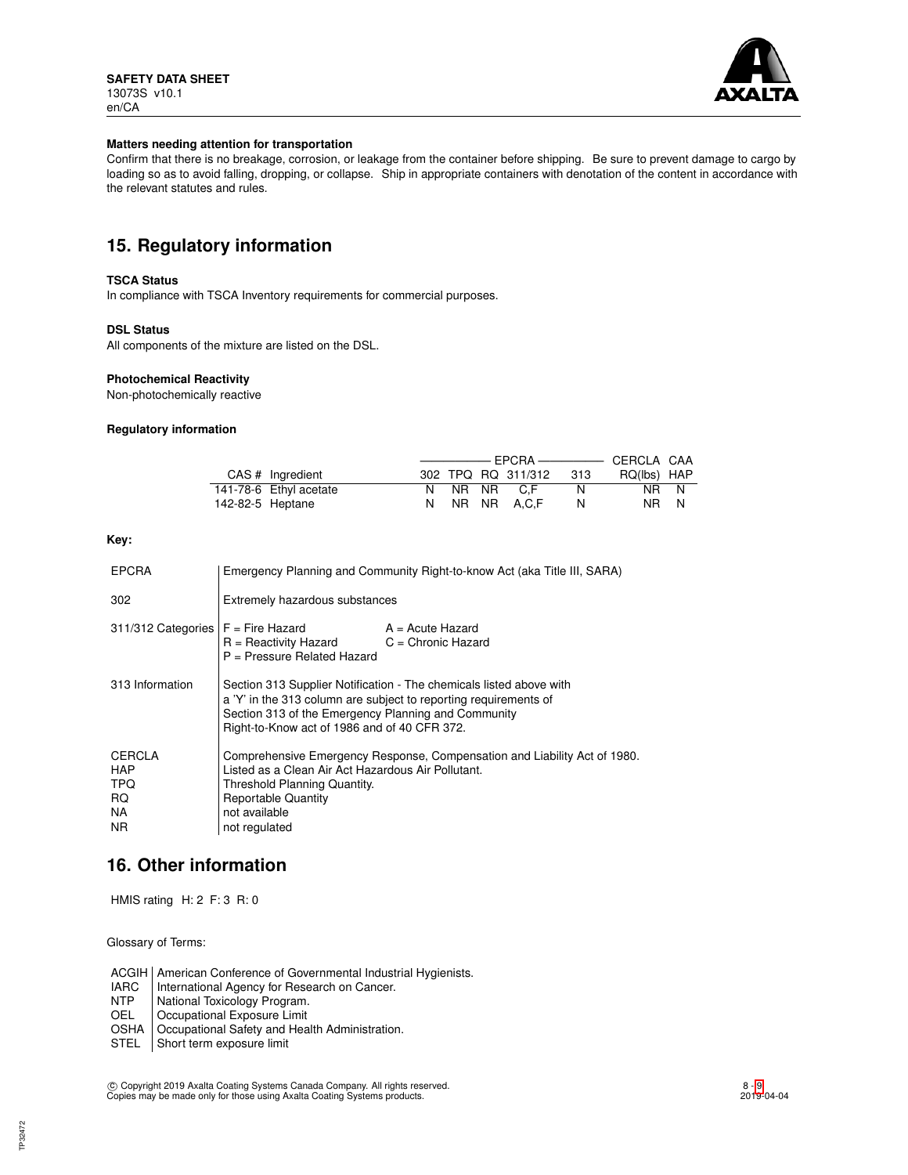

## **Matters needing attention for transportation**

Confirm that there is no breakage, corrosion, or leakage from the container before shipping. Be sure to prevent damage to cargo by loading so as to avoid falling, dropping, or collapse. Ship in appropriate containers with denotation of the content in accordance with the relevant statutes and rules.

## **15. Regulatory information**

## **TSCA Status**

In compliance with TSCA Inventory requirements for commercial purposes.

## **DSL Status**

All components of the mixture are listed on the DSL.

## **Photochemical Reactivity**

Non-photochemically reactive

## **Regulatory information**

|                  | CAS # Ingredient       |  | 302 TPQ RQ 311/312 | - 313 | RQ(lbs) HAP |  |
|------------------|------------------------|--|--------------------|-------|-------------|--|
|                  | 141-78-6 Ethyl acetate |  | NR NR C.F          | N.    | NR N        |  |
| 142-82-5 Heptane |                        |  | NR NR A.C.F        | N     | NR N        |  |

## **Key:**

| <b>EPCRA</b>                                                   | Emergency Planning and Community Right-to-know Act (aka Title III, SARA)                                                                                                                                                                       |                  |  |
|----------------------------------------------------------------|------------------------------------------------------------------------------------------------------------------------------------------------------------------------------------------------------------------------------------------------|------------------|--|
| 302                                                            | Extremely hazardous substances                                                                                                                                                                                                                 |                  |  |
| $311/312$ Categories $F =$ Fire Hazard                         | $R =$ Reactivity Hazard $C =$ Chronic Hazard<br>P = Pressure Related Hazard                                                                                                                                                                    | A = Acute Hazard |  |
| 313 Information                                                | Section 313 Supplier Notification - The chemicals listed above with<br>a 'Y' in the 313 column are subject to reporting requirements of<br>Section 313 of the Emergency Planning and Community<br>Right-to-Know act of 1986 and of 40 CFR 372. |                  |  |
| <b>CERCLA</b><br><b>HAP</b><br><b>TPQ</b><br>RQ.<br>NA.<br>NR. | Comprehensive Emergency Response, Compensation and Liability Act of 1980.<br>Listed as a Clean Air Act Hazardous Air Pollutant.<br>Threshold Planning Quantity.<br><b>Reportable Quantity</b><br>not available<br>not regulated                |                  |  |

## **16. Other information**

HMIS rating H: 2 F: 3 R: 0

Glossary of Terms:

ACGIH | American Conference of Governmental Industrial Hygienists.<br>
IARC | International Agency for Research on Cancer.

- IARC | International Agency for Research on Cancer.<br>NTP | National Toxicology Program.
- NTP | National Toxicology Program.<br>
OEL | Occupational Exposure Limit
- Occupational Exposure Limit
- OSHA | Occupational Safety and Health Administration.
- STEL Short term exposure limit